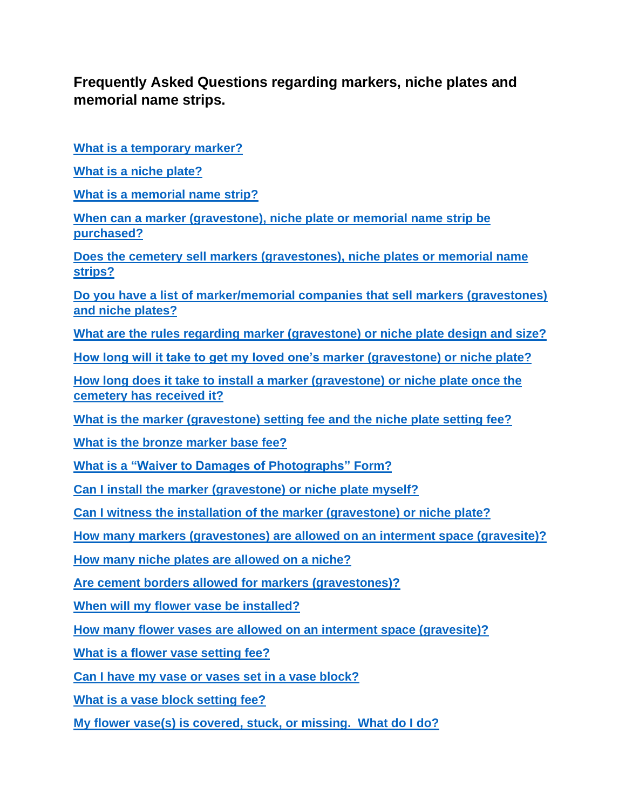# **Frequently Asked Questions regarding markers, niche plates and memorial name strips.**

**[What is a temporary marker?](#page-2-0)**

**[What is a niche plate?](#page-2-1)**

**[What is a memorial name strip?](#page-2-2)**

**[When can a marker \(gravestone\), niche plate or memorial name strip be](#page-2-3)  [purchased?](#page-2-3)**

**[Does the cemetery sell markers \(gravestones\), niche plates or memorial name](#page-3-0)  [strips?](#page-3-0)**

**[Do you have a list of marker/memorial companies that sell markers \(gravestones\)](#page-3-1)  [and niche plates?](#page-3-1)**

**[What are the rules regarding marker \(gravestone\) or niche plate design and size?](#page-3-2)**

**[How long will it take to get my loved one's marker \(gravestone\) or niche plate?](#page-4-0)**

**[How long does it take to install a marker \(gravestone\) or niche plate once the](#page-5-0)  [cemetery has received it?](#page-5-0)**

**[What is the marker \(gravestone\) setting fee and the niche plate setting fee?](#page-5-1)**

**[What is the bronze marker base fee?](#page-5-2)**

**[What is a "Waiver to Damages of Photographs" Form?](#page-5-3)**

**[Can I install the marker \(gravestone\) or niche plate myself?](#page-5-4)**

**[Can I witness the installation of the marker \(gravestone\) or niche plate?](#page-6-0)**

**[How many markers \(gravestones\) are allowed on an interment space \(gravesite\)?](#page-6-1)**

**[How many niche plates are allowed on a niche?](#page-6-2)**

**[Are cement borders allowed for markers \(gravestones\)?](#page-6-3)**

**[When will my flower vase be installed?](#page-6-4)**

**[How many flower vases are allowed on an interment space \(gravesite\)?](#page-7-0)**

**[What is a flower vase setting fee?](#page-7-1)**

**[Can I have my vase or vases set in a vase block?](#page-7-2)**

**[What is a vase block setting fee?](#page-7-3)**

**[My flower vase\(s\) is covered, stuck, or missing. What do I do?](#page-7-4)**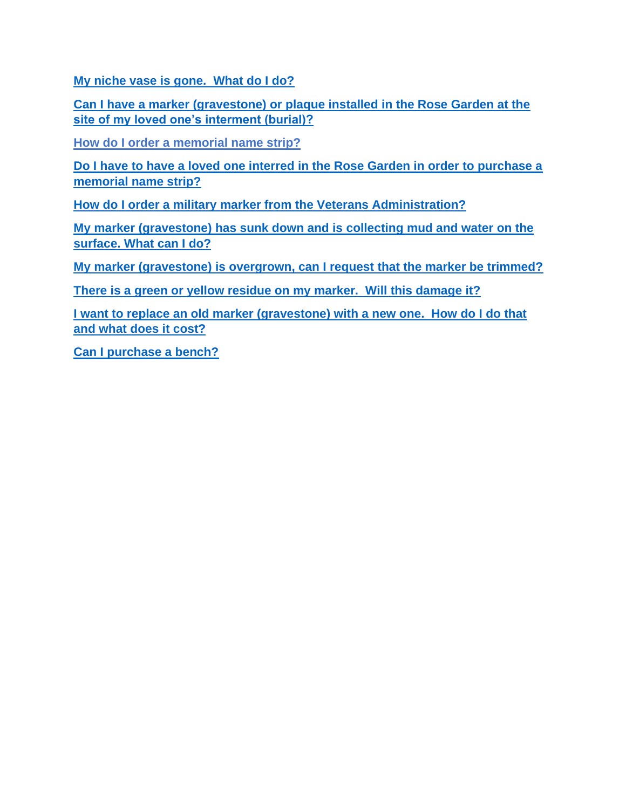**[My niche vase is gone. What do I do?](#page-7-5)**

**[Can I have a marker \(gravestone\) or plaque installed in the Rose Garden at the](#page-8-0)  [site of my loved one's interment \(burial\)?](#page-8-0)**

**[How do I order a memorial name strip?](#page-8-1)**

**[Do I have to have a loved one interred in the Rose Garden in order to purchase a](#page-8-2)  [memorial name strip?](#page-8-2)**

**[How do I order a military marker from the Veterans Administration?](#page-8-3)**

**[My marker \(gravestone\) has sunk down and is collecting mud and water on the](#page-9-0)  [surface. What can I do?](#page-9-0)**

**[My marker \(gravestone\) is overgrown, can I request that the marker be trimmed?](#page-9-1)**

**There is a [green or yellow residue on my marker. Will this damage it?](#page-9-2)**

**[I want to replace an old marker \(gravestone\) with a new one. How do I do that](#page-9-3)  [and what does it cost?](#page-9-3)**

**[Can I purchase a bench?](#page-9-4)**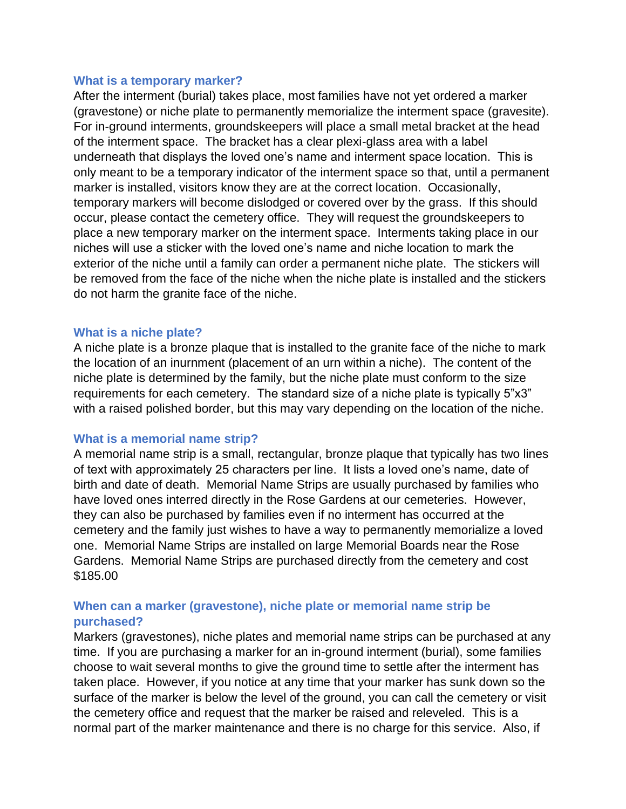#### <span id="page-2-0"></span>**What is a temporary marker?**

After the interment (burial) takes place, most families have not yet ordered a marker (gravestone) or niche plate to permanently memorialize the interment space (gravesite). For in-ground interments, groundskeepers will place a small metal bracket at the head of the interment space. The bracket has a clear plexi-glass area with a label underneath that displays the loved one's name and interment space location. This is only meant to be a temporary indicator of the interment space so that, until a permanent marker is installed, visitors know they are at the correct location. Occasionally, temporary markers will become dislodged or covered over by the grass. If this should occur, please contact the cemetery office. They will request the groundskeepers to place a new temporary marker on the interment space. Interments taking place in our niches will use a sticker with the loved one's name and niche location to mark the exterior of the niche until a family can order a permanent niche plate. The stickers will be removed from the face of the niche when the niche plate is installed and the stickers do not harm the granite face of the niche.

#### <span id="page-2-1"></span>**What is a niche plate?**

A niche plate is a bronze plaque that is installed to the granite face of the niche to mark the location of an inurnment (placement of an urn within a niche). The content of the niche plate is determined by the family, but the niche plate must conform to the size requirements for each cemetery. The standard size of a niche plate is typically 5"x3" with a raised polished border, but this may vary depending on the location of the niche.

#### <span id="page-2-2"></span>**What is a memorial name strip?**

A memorial name strip is a small, rectangular, bronze plaque that typically has two lines of text with approximately 25 characters per line. It lists a loved one's name, date of birth and date of death. Memorial Name Strips are usually purchased by families who have loved ones interred directly in the Rose Gardens at our cemeteries. However, they can also be purchased by families even if no interment has occurred at the cemetery and the family just wishes to have a way to permanently memorialize a loved one. Memorial Name Strips are installed on large Memorial Boards near the Rose Gardens. Memorial Name Strips are purchased directly from the cemetery and cost \$185.00

# <span id="page-2-3"></span>**When can a marker (gravestone), niche plate or memorial name strip be purchased?**

Markers (gravestones), niche plates and memorial name strips can be purchased at any time. If you are purchasing a marker for an in-ground interment (burial), some families choose to wait several months to give the ground time to settle after the interment has taken place. However, if you notice at any time that your marker has sunk down so the surface of the marker is below the level of the ground, you can call the cemetery or visit the cemetery office and request that the marker be raised and releveled. This is a normal part of the marker maintenance and there is no charge for this service. Also, if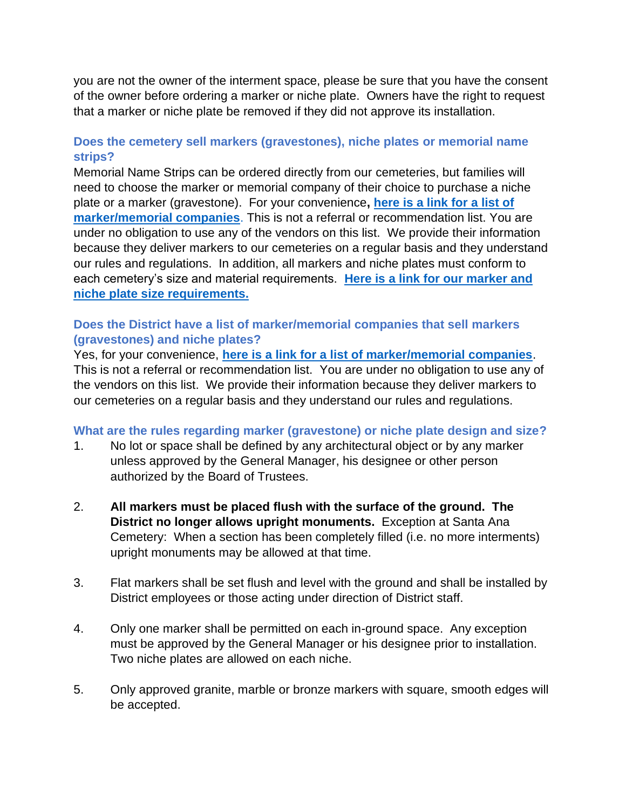you are not the owner of the interment space, please be sure that you have the consent of the owner before ordering a marker or niche plate. Owners have the right to request that a marker or niche plate be removed if they did not approve its installation.

# <span id="page-3-0"></span>**Does the cemetery sell markers (gravestones), niche plates or memorial name strips?**

Memorial Name Strips can be ordered directly from our cemeteries, but families will need to choose the marker or memorial company of their choice to purchase a niche plate or a marker (gravestone). For your convenience**, [here is a link for a list of](http://occemeterydistrict.com/images/occd2/Documents/Marker%20Information/MEMORIAL%20MARKER%20COMPANIES%203-17-22.pdf)  [marker/memorial companies](http://occemeterydistrict.com/images/occd2/Documents/Marker%20Information/MEMORIAL%20MARKER%20COMPANIES%203-17-22.pdf)**. This is not a referral or recommendation list. You are under no obligation to use any of the vendors on this list. We provide their information because they deliver markers to our cemeteries on a regular basis and they understand our rules and regulations. In addition, all markers and niche plates must conform to each cemetery's size and material requirements. **[Here is a link for](http://occemeterydistrict.com/images/occd2/Documents/Marker%20Information/Marker%20Specifications%20for%20Families%20-%20September%202021.pdf) our marker and [niche plate size requirements.](http://occemeterydistrict.com/images/occd2/Documents/Marker%20Information/Marker%20Specifications%20for%20Families%20-%20September%202021.pdf)**

# <span id="page-3-1"></span>**Does the District have a list of marker/memorial companies that sell markers (gravestones) and niche plates?**

Yes, for your convenience, **[here is a link for a list of marker/memorial companies](http://occemeterydistrict.com/images/occd2/Documents/Marker%20Information/MEMORIAL%20MARKER%20COMPANIES%203-17-22.pdf)**. This is not a referral or recommendation list. You are under no obligation to use any of the vendors on this list. We provide their information because they deliver markers to our cemeteries on a regular basis and they understand our rules and regulations.

### <span id="page-3-2"></span>**What are the rules regarding marker (gravestone) or niche plate design and size?**

- 1. No lot or space shall be defined by any architectural object or by any marker unless approved by the General Manager, his designee or other person authorized by the Board of Trustees.
- 2. **All markers must be placed flush with the surface of the ground. The District no longer allows upright monuments.** Exception at Santa Ana Cemetery: When a section has been completely filled (i.e. no more interments) upright monuments may be allowed at that time.
- 3. Flat markers shall be set flush and level with the ground and shall be installed by District employees or those acting under direction of District staff.
- 4. Only one marker shall be permitted on each in-ground space. Any exception must be approved by the General Manager or his designee prior to installation. Two niche plates are allowed on each niche.
- 5. Only approved granite, marble or bronze markers with square, smooth edges will be accepted.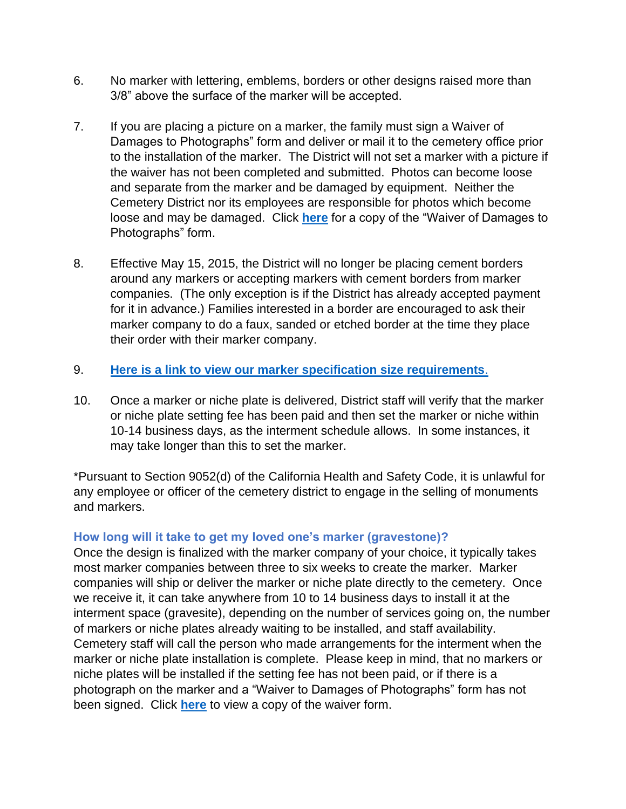- 6. No marker with lettering, emblems, borders or other designs raised more than 3/8" above the surface of the marker will be accepted.
- 7. If you are placing a picture on a marker, the family must sign a Waiver of Damages to Photographs" form and deliver or mail it to the cemetery office prior to the installation of the marker. The District will not set a marker with a picture if the waiver has not been completed and submitted. Photos can become loose and separate from the marker and be damaged by equipment. Neither the Cemetery District nor its employees are responsible for photos which become loose and may be damaged. Click **[here](http://occemeterydistrict.com/images/occd2/Documents/Photo%20Waiver%20Form%20REVISED%207-31-19.pdf)** for a copy of the "Waiver of Damages to Photographs" form.
- 8. Effective May 15, 2015, the District will no longer be placing cement borders around any markers or accepting markers with cement borders from marker companies. (The only exception is if the District has already accepted payment for it in advance.) Families interested in a border are encouraged to ask their marker company to do a faux, sanded or etched border at the time they place their order with their marker company.
- 9. **[Here is a link to view our marker specification size requirements](http://occemeterydistrict.com/images/occd2/Documents/Marker%20Information/Marker%20Specifications%20for%20Families%20-%20September%202021.pdf)**.
- 10. Once a marker or niche plate is delivered, District staff will verify that the marker or niche plate setting fee has been paid and then set the marker or niche within 10-14 business days, as the interment schedule allows. In some instances, it may take longer than this to set the marker.

\*Pursuant to Section 9052(d) of the California Health and Safety Code, it is unlawful for any employee or officer of the cemetery district to engage in the selling of monuments and markers.

# <span id="page-4-0"></span>**How long will it take to get my loved one's marker (gravestone)?**

Once the design is finalized with the marker company of your choice, it typically takes most marker companies between three to six weeks to create the marker. Marker companies will ship or deliver the marker or niche plate directly to the cemetery. Once we receive it, it can take anywhere from 10 to 14 business days to install it at the interment space (gravesite), depending on the number of services going on, the number of markers or niche plates already waiting to be installed, and staff availability. Cemetery staff will call the person who made arrangements for the interment when the marker or niche plate installation is complete. Please keep in mind, that no markers or niche plates will be installed if the setting fee has not been paid, or if there is a photograph on the marker and a "Waiver to Damages of Photographs" form has not been signed. Click **[here](http://occemeterydistrict.com/images/occd2/Documents/Photo%20Waiver%20Form%20REVISED%207-31-19.pdf)** to view a copy of the waiver form.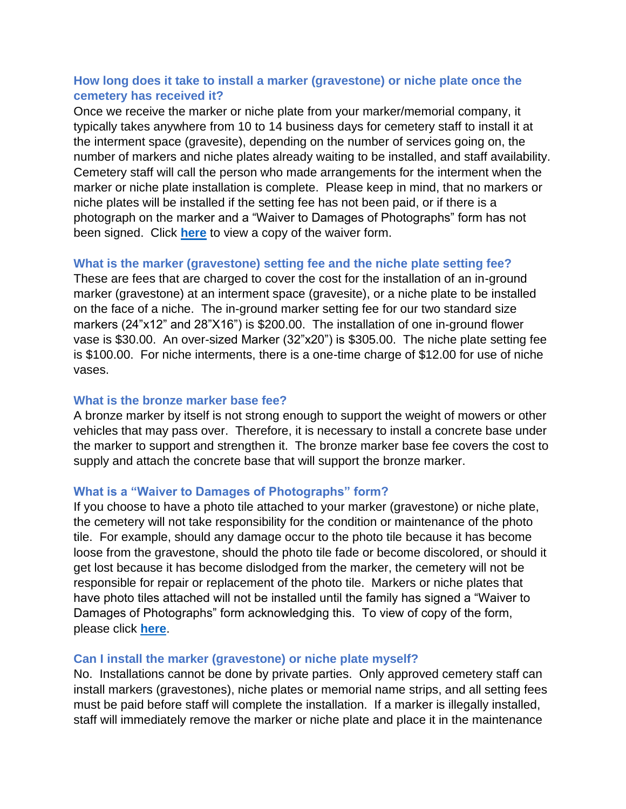# <span id="page-5-0"></span>**How long does it take to install a marker (gravestone) or niche plate once the cemetery has received it?**

Once we receive the marker or niche plate from your marker/memorial company, it typically takes anywhere from 10 to 14 business days for cemetery staff to install it at the interment space (gravesite), depending on the number of services going on, the number of markers and niche plates already waiting to be installed, and staff availability. Cemetery staff will call the person who made arrangements for the interment when the marker or niche plate installation is complete. Please keep in mind, that no markers or niche plates will be installed if the setting fee has not been paid, or if there is a photograph on the marker and a "Waiver to Damages of Photographs" form has not been signed. Click **[here](http://occemeterydistrict.com/images/occd2/Documents/Photo%20Waiver%20Form%20REVISED%207-31-19.pdf)** to view a copy of the waiver form.

### <span id="page-5-1"></span>**What is the marker (gravestone) setting fee and the niche plate setting fee?**

These are fees that are charged to cover the cost for the installation of an in-ground marker (gravestone) at an interment space (gravesite), or a niche plate to be installed on the face of a niche. The in-ground marker setting fee for our two standard size markers (24"x12" and 28"X16") is \$200.00. The installation of one in-ground flower vase is \$30.00. An over-sized Marker (32"x20") is \$305.00. The niche plate setting fee is \$100.00. For niche interments, there is a one-time charge of \$12.00 for use of niche vases.

# <span id="page-5-2"></span>**What is the bronze marker base fee?**

A bronze marker by itself is not strong enough to support the weight of mowers or other vehicles that may pass over. Therefore, it is necessary to install a concrete base under the marker to support and strengthen it. The bronze marker base fee covers the cost to supply and attach the concrete base that will support the bronze marker.

### <span id="page-5-3"></span>**What is a "Waiver to Damages of Photographs" form?**

If you choose to have a photo tile attached to your marker (gravestone) or niche plate, the cemetery will not take responsibility for the condition or maintenance of the photo tile. For example, should any damage occur to the photo tile because it has become loose from the gravestone, should the photo tile fade or become discolored, or should it get lost because it has become dislodged from the marker, the cemetery will not be responsible for repair or replacement of the photo tile. Markers or niche plates that have photo tiles attached will not be installed until the family has signed a "Waiver to Damages of Photographs" form acknowledging this. To view of copy of the form, please click **[here](http://occemeterydistrict.com/images/occd2/Documents/Photo%20Waiver%20Form%20REVISED%207-31-19.pdf)**.

### <span id="page-5-4"></span>**Can I install the marker (gravestone) or niche plate myself?**

No. Installations cannot be done by private parties. Only approved cemetery staff can install markers (gravestones), niche plates or memorial name strips, and all setting fees must be paid before staff will complete the installation. If a marker is illegally installed, staff will immediately remove the marker or niche plate and place it in the maintenance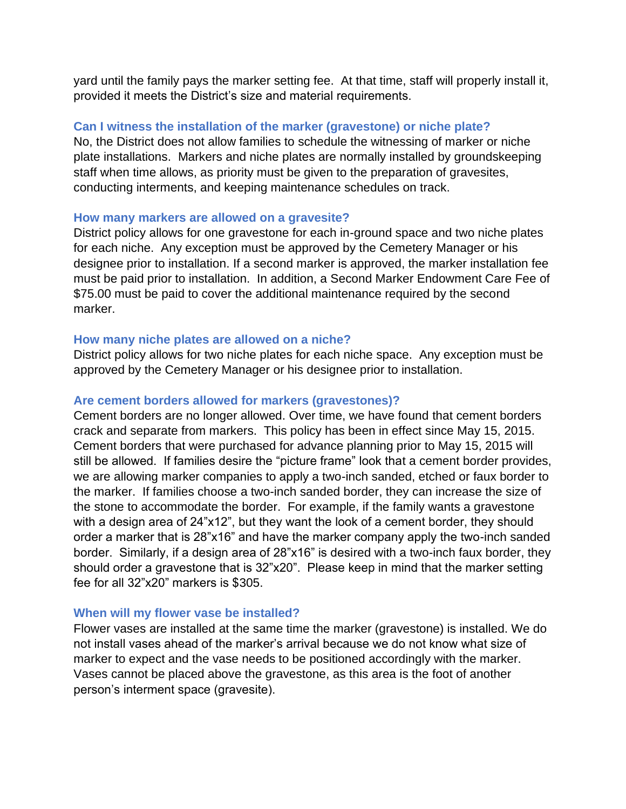yard until the family pays the marker setting fee. At that time, staff will properly install it, provided it meets the District's size and material requirements.

### <span id="page-6-0"></span>**Can I witness the installation of the marker (gravestone) or niche plate?**

No, the District does not allow families to schedule the witnessing of marker or niche plate installations. Markers and niche plates are normally installed by groundskeeping staff when time allows, as priority must be given to the preparation of gravesites, conducting interments, and keeping maintenance schedules on track.

### <span id="page-6-1"></span>**How many markers are allowed on a gravesite?**

District policy allows for one gravestone for each in-ground space and two niche plates for each niche. Any exception must be approved by the Cemetery Manager or his designee prior to installation. If a second marker is approved, the marker installation fee must be paid prior to installation. In addition, a Second Marker Endowment Care Fee of \$75.00 must be paid to cover the additional maintenance required by the second marker.

### <span id="page-6-2"></span>**How many niche plates are allowed on a niche?**

District policy allows for two niche plates for each niche space. Any exception must be approved by the Cemetery Manager or his designee prior to installation.

### <span id="page-6-3"></span>**Are cement borders allowed for markers (gravestones)?**

Cement borders are no longer allowed. Over time, we have found that cement borders crack and separate from markers. This policy has been in effect since May 15, 2015. Cement borders that were purchased for advance planning prior to May 15, 2015 will still be allowed. If families desire the "picture frame" look that a cement border provides, we are allowing marker companies to apply a two-inch sanded, etched or faux border to the marker. If families choose a two-inch sanded border, they can increase the size of the stone to accommodate the border. For example, if the family wants a gravestone with a design area of 24"x12", but they want the look of a cement border, they should order a marker that is 28"x16" and have the marker company apply the two-inch sanded border. Similarly, if a design area of 28"x16" is desired with a two-inch faux border, they should order a gravestone that is 32"x20". Please keep in mind that the marker setting fee for all 32"x20" markers is \$305.

### <span id="page-6-4"></span>**When will my flower vase be installed?**

Flower vases are installed at the same time the marker (gravestone) is installed. We do not install vases ahead of the marker's arrival because we do not know what size of marker to expect and the vase needs to be positioned accordingly with the marker. Vases cannot be placed above the gravestone, as this area is the foot of another person's interment space (gravesite).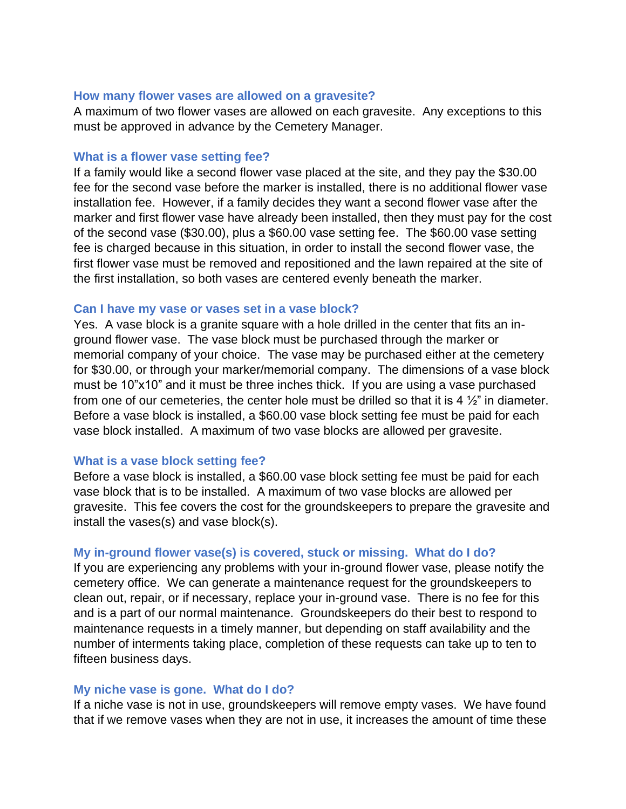#### <span id="page-7-0"></span>**How many flower vases are allowed on a gravesite?**

A maximum of two flower vases are allowed on each gravesite. Any exceptions to this must be approved in advance by the Cemetery Manager.

#### <span id="page-7-1"></span>**What is a flower vase setting fee?**

If a family would like a second flower vase placed at the site, and they pay the \$30.00 fee for the second vase before the marker is installed, there is no additional flower vase installation fee. However, if a family decides they want a second flower vase after the marker and first flower vase have already been installed, then they must pay for the cost of the second vase (\$30.00), plus a \$60.00 vase setting fee. The \$60.00 vase setting fee is charged because in this situation, in order to install the second flower vase, the first flower vase must be removed and repositioned and the lawn repaired at the site of the first installation, so both vases are centered evenly beneath the marker.

#### <span id="page-7-2"></span>**Can I have my vase or vases set in a vase block?**

Yes. A vase block is a granite square with a hole drilled in the center that fits an inground flower vase. The vase block must be purchased through the marker or memorial company of your choice. The vase may be purchased either at the cemetery for \$30.00, or through your marker/memorial company. The dimensions of a vase block must be 10"x10" and it must be three inches thick. If you are using a vase purchased from one of our cemeteries, the center hole must be drilled so that it is 4  $\frac{1}{2}$ " in diameter. Before a vase block is installed, a \$60.00 vase block setting fee must be paid for each vase block installed. A maximum of two vase blocks are allowed per gravesite.

#### <span id="page-7-3"></span>**What is a vase block setting fee?**

Before a vase block is installed, a \$60.00 vase block setting fee must be paid for each vase block that is to be installed. A maximum of two vase blocks are allowed per gravesite. This fee covers the cost for the groundskeepers to prepare the gravesite and install the vases(s) and vase block(s).

#### <span id="page-7-4"></span>**My in-ground flower vase(s) is covered, stuck or missing. What do I do?**

If you are experiencing any problems with your in-ground flower vase, please notify the cemetery office. We can generate a maintenance request for the groundskeepers to clean out, repair, or if necessary, replace your in-ground vase. There is no fee for this and is a part of our normal maintenance. Groundskeepers do their best to respond to maintenance requests in a timely manner, but depending on staff availability and the number of interments taking place, completion of these requests can take up to ten to fifteen business days.

#### <span id="page-7-5"></span>**My niche vase is gone. What do I do?**

If a niche vase is not in use, groundskeepers will remove empty vases. We have found that if we remove vases when they are not in use, it increases the amount of time these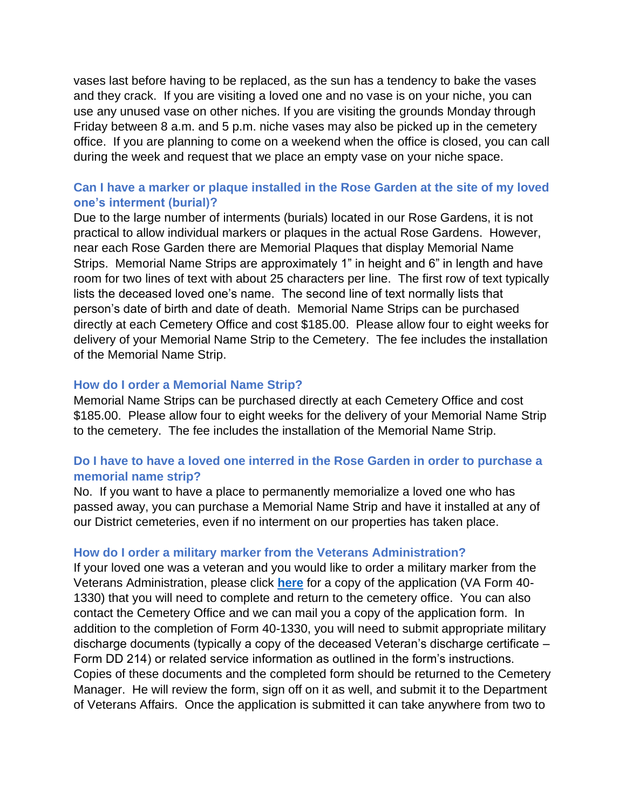vases last before having to be replaced, as the sun has a tendency to bake the vases and they crack. If you are visiting a loved one and no vase is on your niche, you can use any unused vase on other niches. If you are visiting the grounds Monday through Friday between 8 a.m. and 5 p.m. niche vases may also be picked up in the cemetery office. If you are planning to come on a weekend when the office is closed, you can call during the week and request that we place an empty vase on your niche space.

# <span id="page-8-0"></span>**Can I have a marker or plaque installed in the Rose Garden at the site of my loved one's interment (burial)?**

Due to the large number of interments (burials) located in our Rose Gardens, it is not practical to allow individual markers or plaques in the actual Rose Gardens. However, near each Rose Garden there are Memorial Plaques that display Memorial Name Strips. Memorial Name Strips are approximately 1" in height and 6" in length and have room for two lines of text with about 25 characters per line. The first row of text typically lists the deceased loved one's name. The second line of text normally lists that person's date of birth and date of death. Memorial Name Strips can be purchased directly at each Cemetery Office and cost \$185.00. Please allow four to eight weeks for delivery of your Memorial Name Strip to the Cemetery. The fee includes the installation of the Memorial Name Strip.

### <span id="page-8-1"></span>**How do I order a Memorial Name Strip?**

Memorial Name Strips can be purchased directly at each Cemetery Office and cost \$185.00. Please allow four to eight weeks for the delivery of your Memorial Name Strip to the cemetery. The fee includes the installation of the Memorial Name Strip.

# <span id="page-8-2"></span>**Do I have to have a loved one interred in the Rose Garden in order to purchase a memorial name strip?**

No. If you want to have a place to permanently memorialize a loved one who has passed away, you can purchase a Memorial Name Strip and have it installed at any of our District cemeteries, even if no interment on our properties has taken place.

#### <span id="page-8-3"></span>**How do I order a military marker from the Veterans Administration?**

If your loved one was a veteran and you would like to order a military marker from the Veterans Administration, please click **[here](http://occemeterydistrict.com/images/occd2/Documents/Marker%20Information/VAMilMarkerFormf.pdf)** for a copy of the application (VA Form 40- 1330) that you will need to complete and return to the cemetery office. You can also contact the Cemetery Office and we can mail you a copy of the application form. In addition to the completion of Form 40-1330, you will need to submit appropriate military discharge documents (typically a copy of the deceased Veteran's discharge certificate – Form DD 214) or related service information as outlined in the form's instructions. Copies of these documents and the completed form should be returned to the Cemetery Manager. He will review the form, sign off on it as well, and submit it to the Department of Veterans Affairs. Once the application is submitted it can take anywhere from two to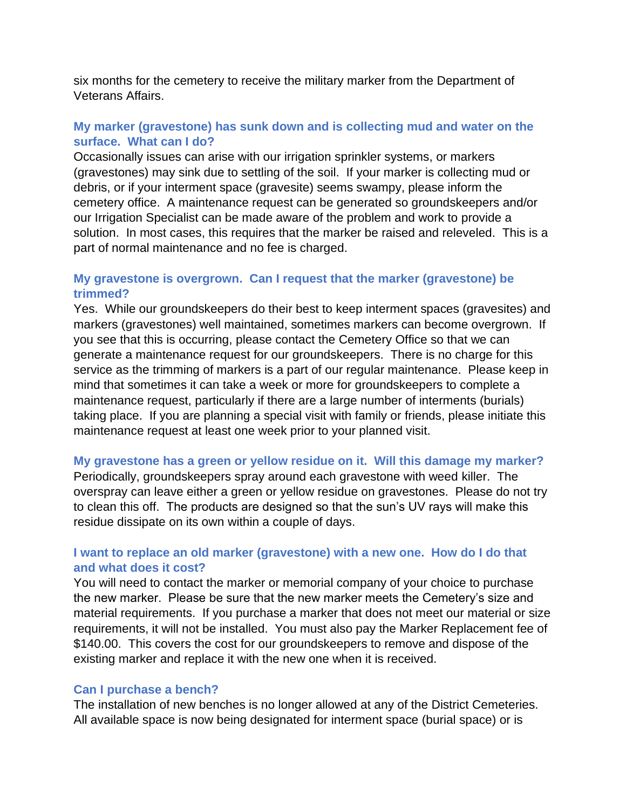six months for the cemetery to receive the military marker from the Department of Veterans Affairs.

# <span id="page-9-0"></span>**My marker (gravestone) has sunk down and is collecting mud and water on the surface. What can I do?**

Occasionally issues can arise with our irrigation sprinkler systems, or markers (gravestones) may sink due to settling of the soil. If your marker is collecting mud or debris, or if your interment space (gravesite) seems swampy, please inform the cemetery office. A maintenance request can be generated so groundskeepers and/or our Irrigation Specialist can be made aware of the problem and work to provide a solution. In most cases, this requires that the marker be raised and releveled. This is a part of normal maintenance and no fee is charged.

# <span id="page-9-1"></span>**My gravestone is overgrown. Can I request that the marker (gravestone) be trimmed?**

Yes. While our groundskeepers do their best to keep interment spaces (gravesites) and markers (gravestones) well maintained, sometimes markers can become overgrown. If you see that this is occurring, please contact the Cemetery Office so that we can generate a maintenance request for our groundskeepers. There is no charge for this service as the trimming of markers is a part of our regular maintenance. Please keep in mind that sometimes it can take a week or more for groundskeepers to complete a maintenance request, particularly if there are a large number of interments (burials) taking place. If you are planning a special visit with family or friends, please initiate this maintenance request at least one week prior to your planned visit.

### <span id="page-9-2"></span>**My gravestone has a green or yellow residue on it. Will this damage my marker?**

Periodically, groundskeepers spray around each gravestone with weed killer. The overspray can leave either a green or yellow residue on gravestones. Please do not try to clean this off. The products are designed so that the sun's UV rays will make this residue dissipate on its own within a couple of days.

### <span id="page-9-3"></span>**I want to replace an old marker (gravestone) with a new one. How do I do that and what does it cost?**

You will need to contact the marker or memorial company of your choice to purchase the new marker. Please be sure that the new marker meets the Cemetery's size and material requirements. If you purchase a marker that does not meet our material or size requirements, it will not be installed. You must also pay the Marker Replacement fee of \$140.00. This covers the cost for our groundskeepers to remove and dispose of the existing marker and replace it with the new one when it is received.

#### <span id="page-9-4"></span>**Can I purchase a bench?**

The installation of new benches is no longer allowed at any of the District Cemeteries. All available space is now being designated for interment space (burial space) or is